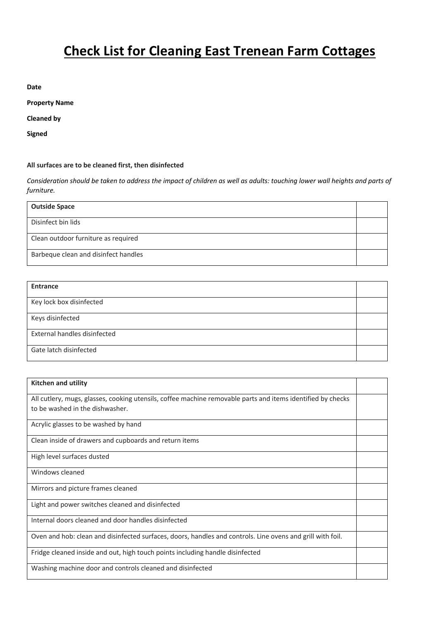## **Check List for Cleaning East Trenean Farm Cottages**

**Date**

**Property Name**

**Cleaned by**

**Signed**

## **All surfaces are to be cleaned first, then disinfected**

*Consideration should be taken to address the impact of children as well as adults: touching lower wall heights and parts of furniture.*

| <b>Outside Space</b>                 |  |
|--------------------------------------|--|
| Disinfect bin lids                   |  |
| Clean outdoor furniture as required  |  |
| Barbeque clean and disinfect handles |  |

| Entrance                     |  |
|------------------------------|--|
| Key lock box disinfected     |  |
| Keys disinfected             |  |
| External handles disinfected |  |
| Gate latch disinfected       |  |

| <b>Kitchen and utility</b>                                                                                  |  |
|-------------------------------------------------------------------------------------------------------------|--|
| All cutlery, mugs, glasses, cooking utensils, coffee machine removable parts and items identified by checks |  |
| to be washed in the dishwasher.                                                                             |  |
| Acrylic glasses to be washed by hand                                                                        |  |
| Clean inside of drawers and cupboards and return items                                                      |  |
| High level surfaces dusted                                                                                  |  |
| Windows cleaned                                                                                             |  |
| Mirrors and picture frames cleaned                                                                          |  |
| Light and power switches cleaned and disinfected                                                            |  |
| Internal doors cleaned and door handles disinfected                                                         |  |
| Oven and hob: clean and disinfected surfaces, doors, handles and controls. Line ovens and grill with foil.  |  |
| Fridge cleaned inside and out, high touch points including handle disinfected                               |  |
| Washing machine door and controls cleaned and disinfected                                                   |  |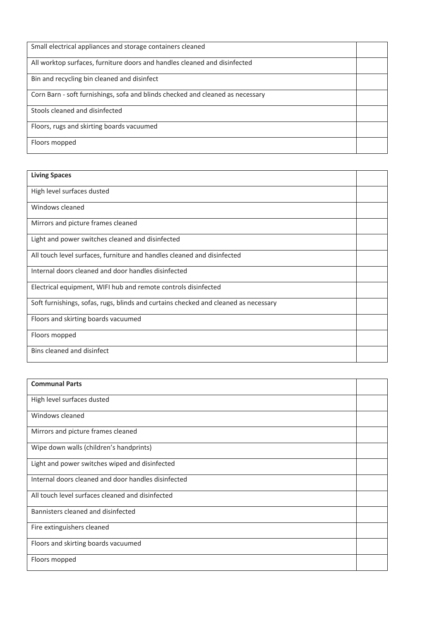| Small electrical appliances and storage containers cleaned                     |  |
|--------------------------------------------------------------------------------|--|
| All worktop surfaces, furniture doors and handles cleaned and disinfected      |  |
| Bin and recycling bin cleaned and disinfect                                    |  |
| Corn Barn - soft furnishings, sofa and blinds checked and cleaned as necessary |  |
| Stools cleaned and disinfected                                                 |  |
| Floors, rugs and skirting boards vacuumed                                      |  |
| Floors mopped                                                                  |  |

| <b>Living Spaces</b>                                                                |  |
|-------------------------------------------------------------------------------------|--|
| High level surfaces dusted                                                          |  |
| Windows cleaned                                                                     |  |
| Mirrors and picture frames cleaned                                                  |  |
| Light and power switches cleaned and disinfected                                    |  |
| All touch level surfaces, furniture and handles cleaned and disinfected             |  |
| Internal doors cleaned and door handles disinfected                                 |  |
| Electrical equipment, WIFI hub and remote controls disinfected                      |  |
| Soft furnishings, sofas, rugs, blinds and curtains checked and cleaned as necessary |  |
| Floors and skirting boards vacuumed                                                 |  |
| Floors mopped                                                                       |  |
| Bins cleaned and disinfect                                                          |  |

| <b>Communal Parts</b>                               |  |
|-----------------------------------------------------|--|
| High level surfaces dusted                          |  |
| Windows cleaned                                     |  |
| Mirrors and picture frames cleaned                  |  |
| Wipe down walls (children's handprints)             |  |
| Light and power switches wiped and disinfected      |  |
| Internal doors cleaned and door handles disinfected |  |
| All touch level surfaces cleaned and disinfected    |  |
| Bannisters cleaned and disinfected                  |  |
| Fire extinguishers cleaned                          |  |
| Floors and skirting boards vacuumed                 |  |
| Floors mopped                                       |  |